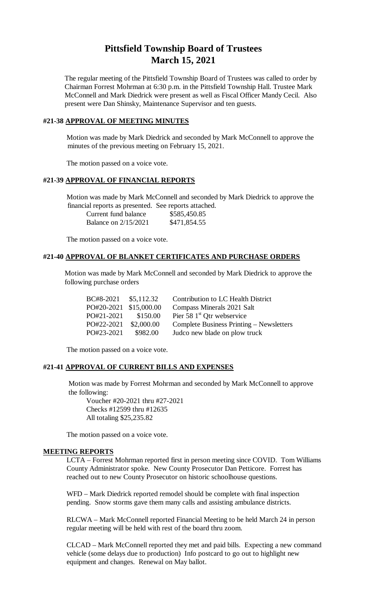# **Pittsfield Township Board of Trustees March 15, 2021**

The regular meeting of the Pittsfield Township Board of Trustees was called to order by Chairman Forrest Mohrman at 6:30 p.m. in the Pittsfield Township Hall. Trustee Mark McConnell and Mark Diedrick were present as well as Fiscal Officer Mandy Cecil. Also present were Dan Shinsky, Maintenance Supervisor and ten guests.

# **#21-38 APPROVAL OF MEETING MINUTES**

Motion was made by Mark Diedrick and seconded by Mark McConnell to approve the minutes of the previous meeting on February 15, 2021.

The motion passed on a voice vote.

# **#21-39 APPROVAL OF FINANCIAL REPORTS**

Motion was made by Mark McConnell and seconded by Mark Diedrick to approve the financial reports as presented. See reports attached.

| Current fund balance        | \$585,450.85 |
|-----------------------------|--------------|
| <b>Balance on 2/15/2021</b> | \$471,854.55 |

The motion passed on a voice vote.

#### **#21-40 APPROVAL OF BLANKET CERTIFICATES AND PURCHASE ORDERS**

Motion was made by Mark McConnell and seconded by Mark Diedrick to approve the following purchase orders

| BC#8-2021              | \$5,112.32 | <b>Contribution to LC Health District</b> |
|------------------------|------------|-------------------------------------------|
| PO#20-2021 \$15,000.00 |            | Compass Minerals 2021 Salt                |
| PO#21-2021             | \$150.00   | Pier 58 $1st$ Otr webservice              |
| PO#22-2021             | \$2,000.00 | Complete Business Printing – Newsletters  |
| PO#23-2021             | \$982.00   | Judco new blade on plow truck             |

The motion passed on a voice vote.

#### **#21-41 APPROVAL OF CURRENT BILLS AND EXPENSES**

Motion was made by Forrest Mohrman and seconded by Mark McConnell to approve the following:

Voucher #20-2021 thru #27-2021 Checks #12599 thru #12635 All totaling \$25,235.82

The motion passed on a voice vote.

#### **MEETING REPORTS**

LCTA – Forrest Mohrman reported first in person meeting since COVID. Tom Williams County Administrator spoke. New County Prosecutor Dan Petticore. Forrest has reached out to new County Prosecutor on historic schoolhouse questions.

WFD – Mark Diedrick reported remodel should be complete with final inspection pending. Snow storms gave them many calls and assisting ambulance districts.

RLCWA – Mark McConnell reported Financial Meeting to be held March 24 in person regular meeting will be held with rest of the board thru zoom.

CLCAD – Mark McConnell reported they met and paid bills. Expecting a new command vehicle (some delays due to production) Info postcard to go out to highlight new equipment and changes. Renewal on May ballot.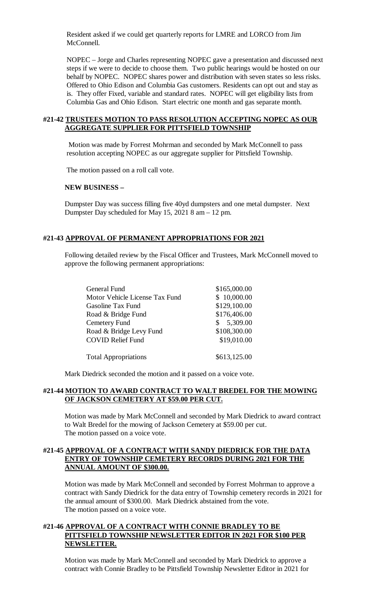Resident asked if we could get quarterly reports for LMRE and LORCO from Jim McConnell.

NOPEC – Jorge and Charles representing NOPEC gave a presentation and discussed next steps if we were to decide to choose them. Two public hearings would be hosted on our behalf by NOPEC. NOPEC shares power and distribution with seven states so less risks. Offered to Ohio Edison and Columbia Gas customers. Residents can opt out and stay as is. They offer Fixed, variable and standard rates. NOPEC will get eligibility lists from Columbia Gas and Ohio Edison. Start electric one month and gas separate month.

#### **#21-42 TRUSTEES MOTION TO PASS RESOLUTION ACCEPTING NOPEC AS OUR AGGREGATE SUPPLIER FOR PITTSFIELD TOWNSHIP**

Motion was made by Forrest Mohrman and seconded by Mark McConnell to pass resolution accepting NOPEC as our aggregate supplier for Pittsfield Township.

The motion passed on a roll call vote.

#### **NEW BUSINESS –**

Dumpster Day was success filling five 40yd dumpsters and one metal dumpster. Next Dumpster Day scheduled for May 15, 2021 8 am – 12 pm.

# **#21-43 APPROVAL OF PERMANENT APPROPRIATIONS FOR 2021**

Following detailed review by the Fiscal Officer and Trustees, Mark McConnell moved to approve the following permanent appropriations:

| <b>General Fund</b>            | \$165,000.00   |
|--------------------------------|----------------|
| Motor Vehicle License Tax Fund | \$10,000.00    |
| Gasoline Tax Fund              | \$129,100.00   |
| Road & Bridge Fund             | \$176,406.00   |
| Cemetery Fund                  | 5,309.00<br>S. |
| Road & Bridge Levy Fund        | \$108,300.00   |
| <b>COVID Relief Fund</b>       | \$19,010.00    |
|                                |                |
| <b>Total Appropriations</b>    | \$613,125.00   |

Mark Diedrick seconded the motion and it passed on a voice vote.

### **#21-44 MOTION TO AWARD CONTRACT TO WALT BREDEL FOR THE MOWING OF JACKSON CEMETERY AT \$59.00 PER CUT.**

Motion was made by Mark McConnell and seconded by Mark Diedrick to award contract to Walt Bredel for the mowing of Jackson Cemetery at \$59.00 per cut. The motion passed on a voice vote.

# **#21-45 APPROVAL OF A CONTRACT WITH SANDY DIEDRICK FOR THE DATA ENTRY OF TOWNSHIP CEMETERY RECORDS DURING 2021 FOR THE ANNUAL AMOUNT OF \$300.00.**

Motion was made by Mark McConnell and seconded by Forrest Mohrman to approve a contract with Sandy Diedrick for the data entry of Township cemetery records in 2021 for the annual amount of \$300.00. Mark Diedrick abstained from the vote. The motion passed on a voice vote.

# **#21-46 APPROVAL OF A CONTRACT WITH CONNIE BRADLEY TO BE PITTSFIELD TOWNSHIP NEWSLETTER EDITOR IN 2021 FOR \$100 PER NEWSLETTER.**

Motion was made by Mark McConnell and seconded by Mark Diedrick to approve a contract with Connie Bradley to be Pittsfield Township Newsletter Editor in 2021 for